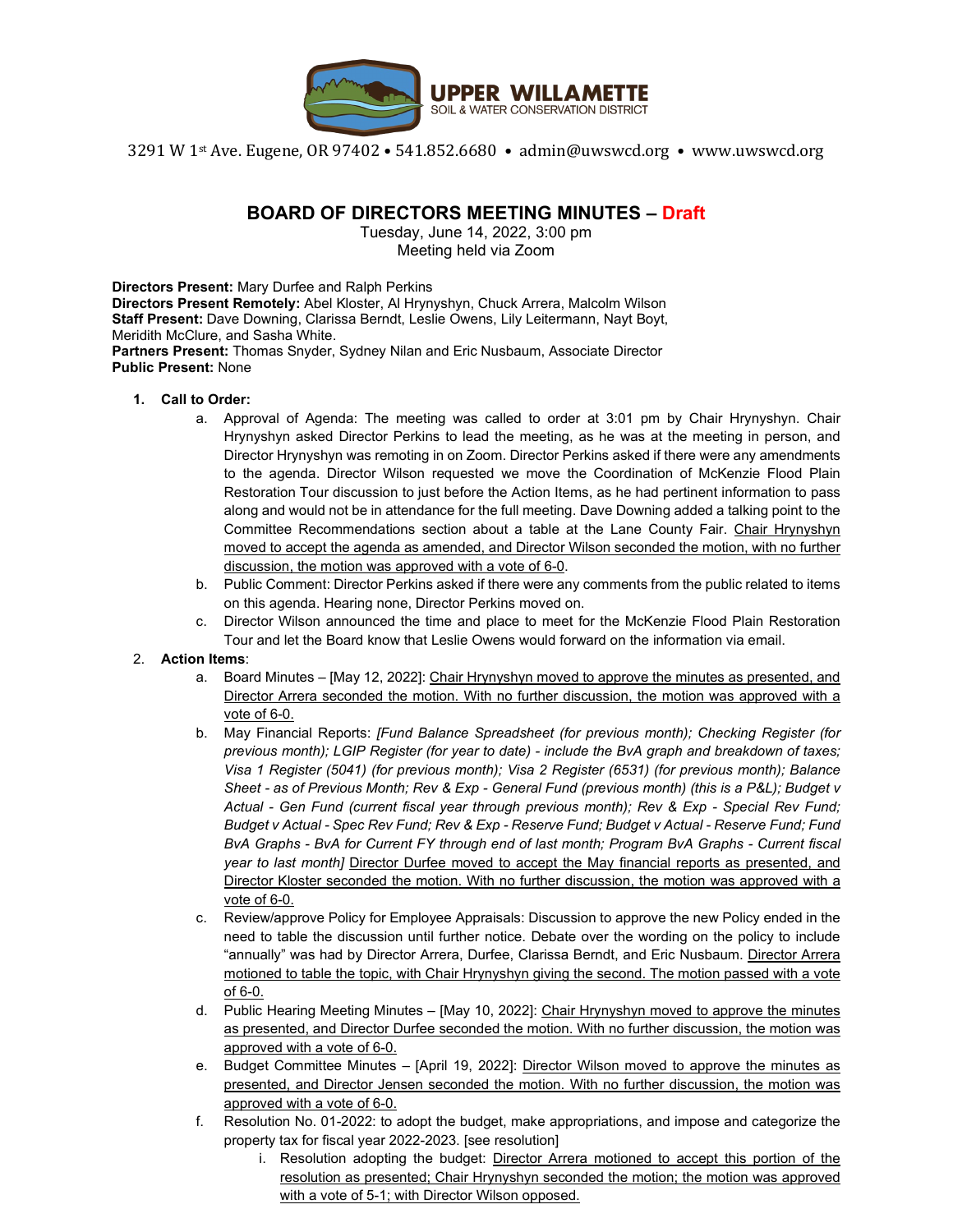

3291 W 1st Ave. Eugene, OR 97402 • 541.852.6680 • admin@uwswcd.org • www.uwswcd.org

# **BOARD OF DIRECTORS MEETING MINUTES – Draft**

Tuesday, June 14, 2022, 3:00 pm Meeting held via Zoom

**Directors Present:** Mary Durfee and Ralph Perkins **Directors Present Remotely:** Abel Kloster, Al Hrynyshyn, Chuck Arrera, Malcolm Wilson **Staff Present:** Dave Downing, Clarissa Berndt, Leslie Owens, Lily Leitermann, Nayt Boyt, Meridith McClure, and Sasha White. **Partners Present:** Thomas Snyder, Sydney Nilan and Eric Nusbaum, Associate Director **Public Present:** None

#### **1. Call to Order:**

- a. Approval of Agenda: The meeting was called to order at 3:01 pm by Chair Hrynyshyn. Chair Hrynyshyn asked Director Perkins to lead the meeting, as he was at the meeting in person, and Director Hrynyshyn was remoting in on Zoom. Director Perkins asked if there were any amendments to the agenda. Director Wilson requested we move the Coordination of McKenzie Flood Plain Restoration Tour discussion to just before the Action Items, as he had pertinent information to pass along and would not be in attendance for the full meeting. Dave Downing added a talking point to the Committee Recommendations section about a table at the Lane County Fair. Chair Hrynyshyn moved to accept the agenda as amended, and Director Wilson seconded the motion, with no further discussion, the motion was approved with a vote of 6-0.
- b. Public Comment: Director Perkins asked if there were any comments from the public related to items on this agenda. Hearing none, Director Perkins moved on.
- c. Director Wilson announced the time and place to meet for the McKenzie Flood Plain Restoration Tour and let the Board know that Leslie Owens would forward on the information via email.

#### 2. **Action Items**:

- a. Board Minutes [May 12, 2022]: Chair Hrynyshyn moved to approve the minutes as presented, and Director Arrera seconded the motion. With no further discussion, the motion was approved with a vote of 6-0.
- b. May Financial Reports: *[Fund Balance Spreadsheet (for previous month); Checking Register (for previous month); LGIP Register (for year to date) - include the BvA graph and breakdown of taxes; Visa 1 Register (5041) (for previous month); Visa 2 Register (6531) (for previous month); Balance Sheet - as of Previous Month; Rev & Exp - General Fund (previous month) (this is a P&L); Budget v Actual - Gen Fund (current fiscal year through previous month); Rev & Exp - Special Rev Fund; Budget v Actual - Spec Rev Fund; Rev & Exp - Reserve Fund; Budget v Actual - Reserve Fund; Fund BvA Graphs - BvA for Current FY through end of last month; Program BvA Graphs - Current fiscal year to last month]* Director Durfee moved to accept the May financial reports as presented, and Director Kloster seconded the motion. With no further discussion, the motion was approved with a vote of 6-0.
- c. Review/approve Policy for Employee Appraisals: Discussion to approve the new Policy ended in the need to table the discussion until further notice. Debate over the wording on the policy to include "annually" was had by Director Arrera, Durfee, Clarissa Berndt, and Eric Nusbaum. Director Arrera motioned to table the topic, with Chair Hrynyshyn giving the second. The motion passed with a vote of 6-0.
- d. Public Hearing Meeting Minutes [May 10, 2022]: Chair Hrynyshyn moved to approve the minutes as presented, and Director Durfee seconded the motion. With no further discussion, the motion was approved with a vote of 6-0.
- e. Budget Committee Minutes [April 19, 2022]: Director Wilson moved to approve the minutes as presented, and Director Jensen seconded the motion. With no further discussion, the motion was approved with a vote of 6-0.
- f. Resolution No. 01-2022: to adopt the budget, make appropriations, and impose and categorize the property tax for fiscal year 2022-2023. [see resolution]
	- i. Resolution adopting the budget: Director Arrera motioned to accept this portion of the resolution as presented; Chair Hrynyshyn seconded the motion; the motion was approved with a vote of 5-1; with Director Wilson opposed.